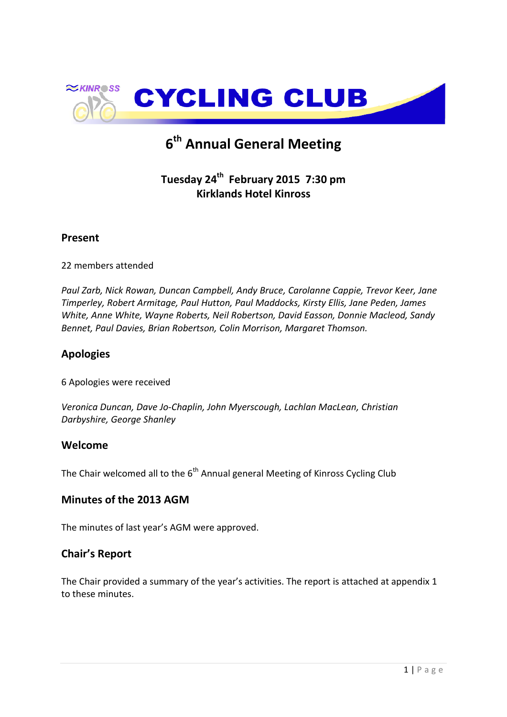

# **6 th Annual General Meeting**

# **Tuesday 24th February 2015 7:30 pm Kirklands Hotel Kinross**

### **Present**

22 members attended

*Paul Zarb, Nick Rowan, Duncan Campbell, Andy Bruce, Carolanne Cappie, Trevor Keer, Jane Timperley, Robert Armitage, Paul Hutton, Paul Maddocks, Kirsty Ellis, Jane Peden, James White, Anne White, Wayne Roberts, Neil Robertson, David Easson, Donnie Macleod, Sandy Bennet, Paul Davies, Brian Robertson, Colin Morrison, Margaret Thomson.*

### **Apologies**

6 Apologies were received

*Veronica Duncan, Dave Jo-Chaplin, John Myerscough, Lachlan MacLean, Christian Darbyshire, George Shanley*

### **Welcome**

The Chair welcomed all to the 6<sup>th</sup> Annual general Meeting of Kinross Cycling Club

### **Minutes of the 2013 AGM**

The minutes of last year's AGM were approved.

### **Chair's Report**

The Chair provided a summary of the year's activities. The report is attached at appendix 1 to these minutes.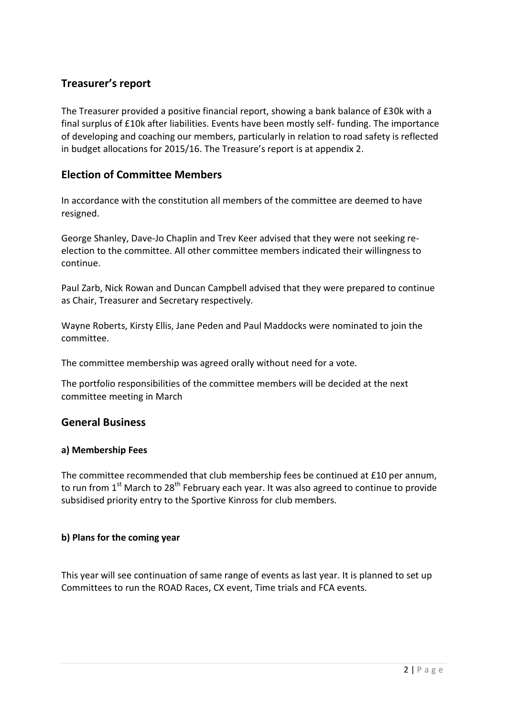# **Treasurer's report**

The Treasurer provided a positive financial report, showing a bank balance of £30k with a final surplus of £10k after liabilities. Events have been mostly self- funding. The importance of developing and coaching our members, particularly in relation to road safety is reflected in budget allocations for 2015/16. The Treasure's report is at appendix 2.

### **Election of Committee Members**

In accordance with the constitution all members of the committee are deemed to have resigned.

George Shanley, Dave-Jo Chaplin and Trev Keer advised that they were not seeking reelection to the committee. All other committee members indicated their willingness to continue.

Paul Zarb, Nick Rowan and Duncan Campbell advised that they were prepared to continue as Chair, Treasurer and Secretary respectively.

Wayne Roberts, Kirsty Ellis, Jane Peden and Paul Maddocks were nominated to join the committee.

The committee membership was agreed orally without need for a vote.

The portfolio responsibilities of the committee members will be decided at the next committee meeting in March

#### **General Business**

#### **a) Membership Fees**

The committee recommended that club membership fees be continued at £10 per annum, to run from  $1<sup>st</sup>$  March to 28<sup>th</sup> February each year. It was also agreed to continue to provide subsidised priority entry to the Sportive Kinross for club members.

#### **b) Plans for the coming year**

This year will see continuation of same range of events as last year. It is planned to set up Committees to run the ROAD Races, CX event, Time trials and FCA events.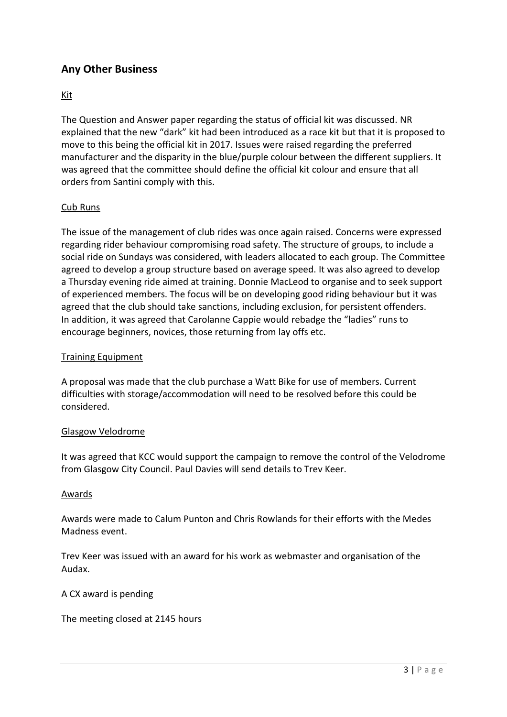# **Any Other Business**

#### Kit

The Question and Answer paper regarding the status of official kit was discussed. NR explained that the new "dark" kit had been introduced as a race kit but that it is proposed to move to this being the official kit in 2017. Issues were raised regarding the preferred manufacturer and the disparity in the blue/purple colour between the different suppliers. It was agreed that the committee should define the official kit colour and ensure that all orders from Santini comply with this.

#### Cub Runs

The issue of the management of club rides was once again raised. Concerns were expressed regarding rider behaviour compromising road safety. The structure of groups, to include a social ride on Sundays was considered, with leaders allocated to each group. The Committee agreed to develop a group structure based on average speed. It was also agreed to develop a Thursday evening ride aimed at training. Donnie MacLeod to organise and to seek support of experienced members. The focus will be on developing good riding behaviour but it was agreed that the club should take sanctions, including exclusion, for persistent offenders. In addition, it was agreed that Carolanne Cappie would rebadge the "ladies" runs to encourage beginners, novices, those returning from lay offs etc.

#### Training Equipment

A proposal was made that the club purchase a Watt Bike for use of members. Current difficulties with storage/accommodation will need to be resolved before this could be considered.

#### Glasgow Velodrome

It was agreed that KCC would support the campaign to remove the control of the Velodrome from Glasgow City Council. Paul Davies will send details to Trev Keer.

#### Awards

Awards were made to Calum Punton and Chris Rowlands for their efforts with the Medes Madness event.

Trev Keer was issued with an award for his work as webmaster and organisation of the Audax.

A CX award is pending

The meeting closed at 2145 hours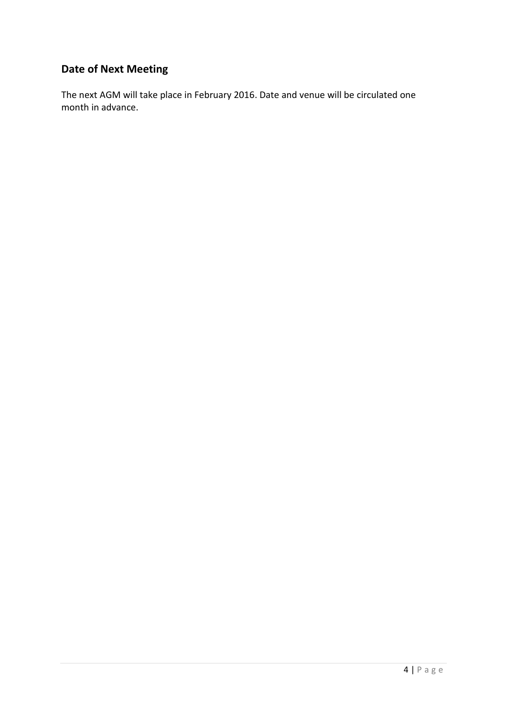# **Date of Next Meeting**

The next AGM will take place in February 2016. Date and venue will be circulated one month in advance.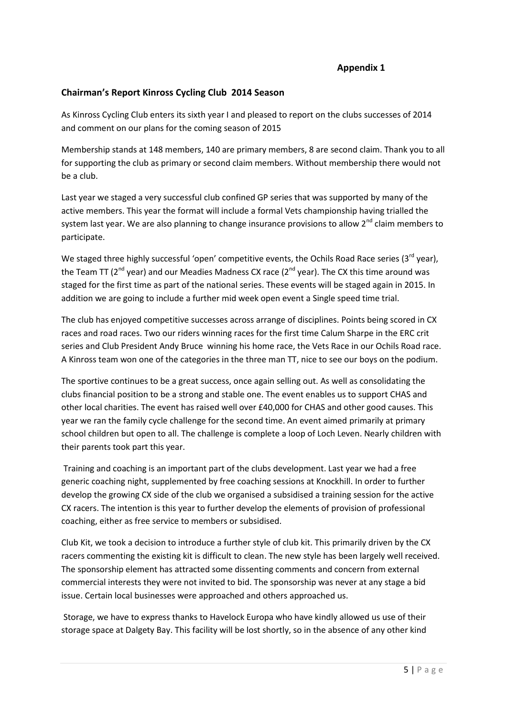#### **Appendix 1**

#### **Chairman's Report Kinross Cycling Club 2014 Season**

As Kinross Cycling Club enters its sixth year I and pleased to report on the clubs successes of 2014 and comment on our plans for the coming season of 2015

Membership stands at 148 members, 140 are primary members, 8 are second claim. Thank you to all for supporting the club as primary or second claim members. Without membership there would not be a club.

Last year we staged a very successful club confined GP series that was supported by many of the active members. This year the format will include a formal Vets championship having trialled the system last year. We are also planning to change insurance provisions to allow 2<sup>nd</sup> claim members to participate.

We staged three highly successful 'open' competitive events, the Ochils Road Race series ( $3^{rd}$  year), the Team TT ( $2^{nd}$  year) and our Meadies Madness CX race ( $2^{nd}$  year). The CX this time around was staged for the first time as part of the national series. These events will be staged again in 2015. In addition we are going to include a further mid week open event a Single speed time trial.

The club has enjoyed competitive successes across arrange of disciplines. Points being scored in CX races and road races. Two our riders winning races for the first time Calum Sharpe in the ERC crit series and Club President Andy Bruce winning his home race, the Vets Race in our Ochils Road race. A Kinross team won one of the categories in the three man TT, nice to see our boys on the podium.

The sportive continues to be a great success, once again selling out. As well as consolidating the clubs financial position to be a strong and stable one. The event enables us to support CHAS and other local charities. The event has raised well over £40,000 for CHAS and other good causes. This year we ran the family cycle challenge for the second time. An event aimed primarily at primary school children but open to all. The challenge is complete a loop of Loch Leven. Nearly children with their parents took part this year.

Training and coaching is an important part of the clubs development. Last year we had a free generic coaching night, supplemented by free coaching sessions at Knockhill. In order to further develop the growing CX side of the club we organised a subsidised a training session for the active CX racers. The intention is this year to further develop the elements of provision of professional coaching, either as free service to members or subsidised.

Club Kit, we took a decision to introduce a further style of club kit. This primarily driven by the CX racers commenting the existing kit is difficult to clean. The new style has been largely well received. The sponsorship element has attracted some dissenting comments and concern from external commercial interests they were not invited to bid. The sponsorship was never at any stage a bid issue. Certain local businesses were approached and others approached us.

Storage, we have to express thanks to Havelock Europa who have kindly allowed us use of their storage space at Dalgety Bay. This facility will be lost shortly, so in the absence of any other kind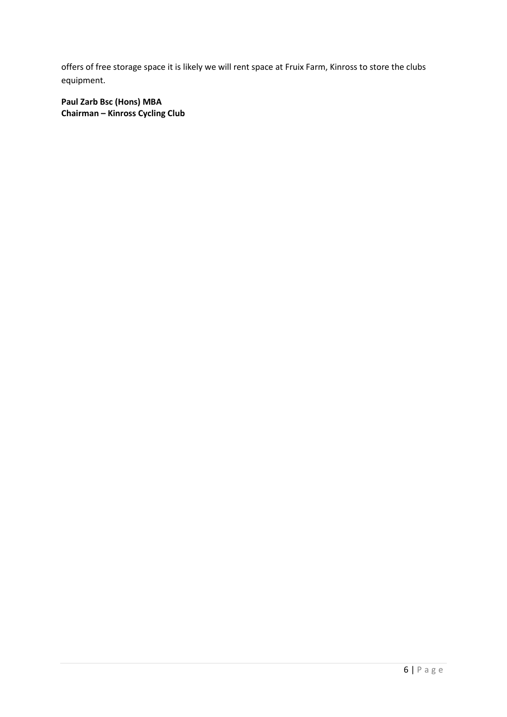offers of free storage space it is likely we will rent space at Fruix Farm, Kinross to store the clubs equipment.

**Paul Zarb Bsc (Hons) MBA Chairman – Kinross Cycling Club**